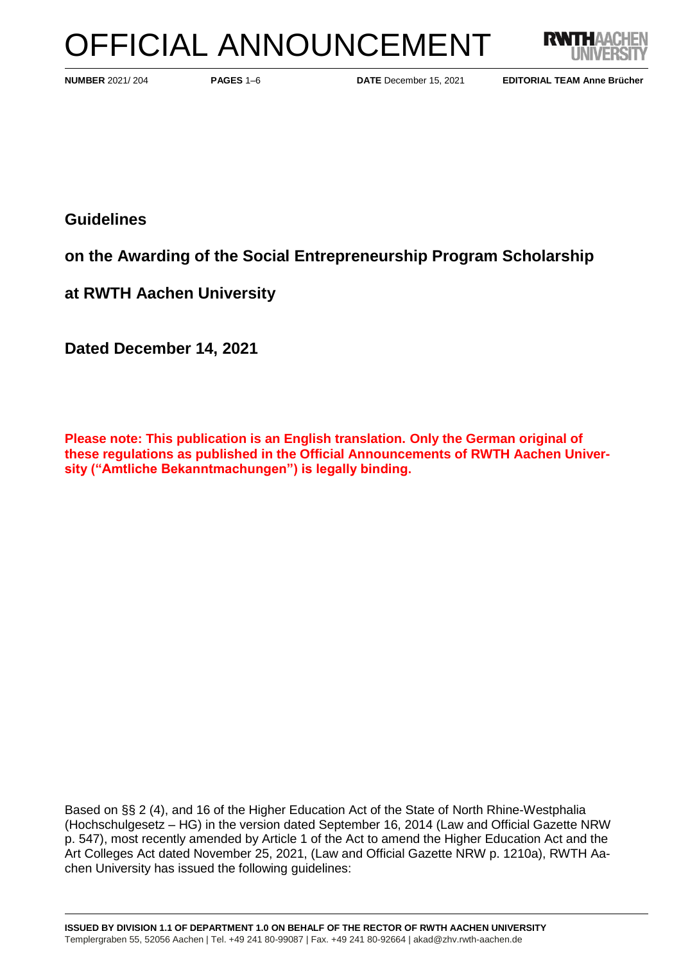# OFFICIAL ANNOUNCEMENT



**PAGES** 1–6 **DATE** December 15, 2021

**NUMBER** 2021/ 204 **EDITORIAL TEAM Anne Brücher**

**Guidelines**

**on the Awarding of the Social Entrepreneurship Program Scholarship**

**at RWTH Aachen University**

**Dated December 14, 2021**

**Please note: This publication is an English translation. Only the German original of these regulations as published in the Official Announcements of RWTH Aachen University ("Amtliche Bekanntmachungen") is legally binding.**

Based on §§ 2 (4), and 16 of the Higher Education Act of the State of North Rhine-Westphalia (Hochschulgesetz – HG) in the version dated September 16, 2014 (Law and Official Gazette NRW p. 547), most recently amended by Article 1 of the Act to amend the Higher Education Act and the Art Colleges Act dated November 25, 2021, (Law and Official Gazette NRW p. 1210a), RWTH Aachen University has issued the following guidelines: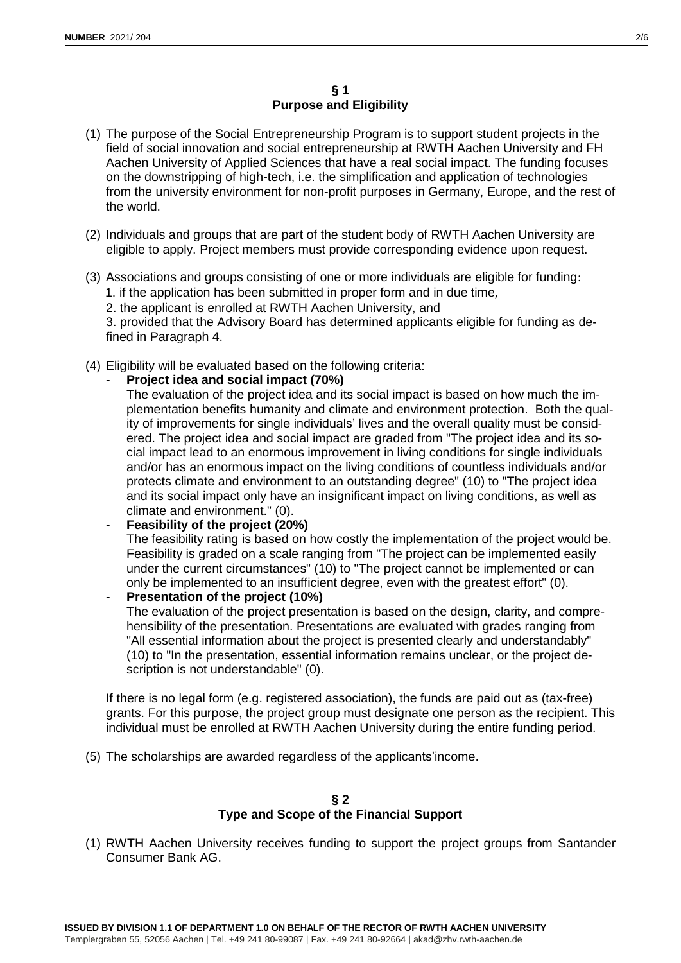- (1) The purpose of the Social Entrepreneurship Program is to support student projects in the field of social innovation and social entrepreneurship at RWTH Aachen University and FH Aachen University of Applied Sciences that have a real social impact. The funding focuses on the downstripping of high-tech, i.e. the simplification and application of technologies from the university environment for non-profit purposes in Germany, Europe, and the rest of the world.
- (2) Individuals and groups that are part of the student body of RWTH Aachen University are eligible to apply. Project members must provide corresponding evidence upon request.
- (3) Associations and groups consisting of one or more individuals are eligible for funding:

1. if the application has been submitted in proper form and in due time,

2. the applicant is enrolled at RWTH Aachen University, and

3. provided that the Advisory Board has determined applicants eligible for funding as defined in Paragraph 4.

- (4) Eligibility will be evaluated based on the following criteria:
	- **Project idea and social impact (70%)**

The evaluation of the project idea and its social impact is based on how much the implementation benefits humanity and climate and environment protection. Both the quality of improvements for single individuals' lives and the overall quality must be considered. The project idea and social impact are graded from "The project idea and its social impact lead to an enormous improvement in living conditions for single individuals and/or has an enormous impact on the living conditions of countless individuals and/or protects climate and environment to an outstanding degree" (10) to "The project idea and its social impact only have an insignificant impact on living conditions, as well as climate and environment." (0).

- **Feasibility of the project (20%)** The feasibility rating is based on how costly the implementation of the project would be.

Feasibility is graded on a scale ranging from "The project can be implemented easily under the current circumstances" (10) to "The project cannot be implemented or can only be implemented to an insufficient degree, even with the greatest effort" (0).

- **Presentation of the project (10%)** The evaluation of the project presentation is based on the design, clarity, and comprehensibility of the presentation. Presentations are evaluated with grades ranging from "All essential information about the project is presented clearly and understandably" (10) to "In the presentation, essential information remains unclear, or the project description is not understandable" (0).

If there is no legal form (e.g. registered association), the funds are paid out as (tax-free) grants. For this purpose, the project group must designate one person as the recipient. This individual must be enrolled at RWTH Aachen University during the entire funding period.

(5) The scholarships are awarded regardless of the applicants'income.

# **§ 2 Type and Scope of the Financial Support**

(1) RWTH Aachen University receives funding to support the project groups from Santander Consumer Bank AG.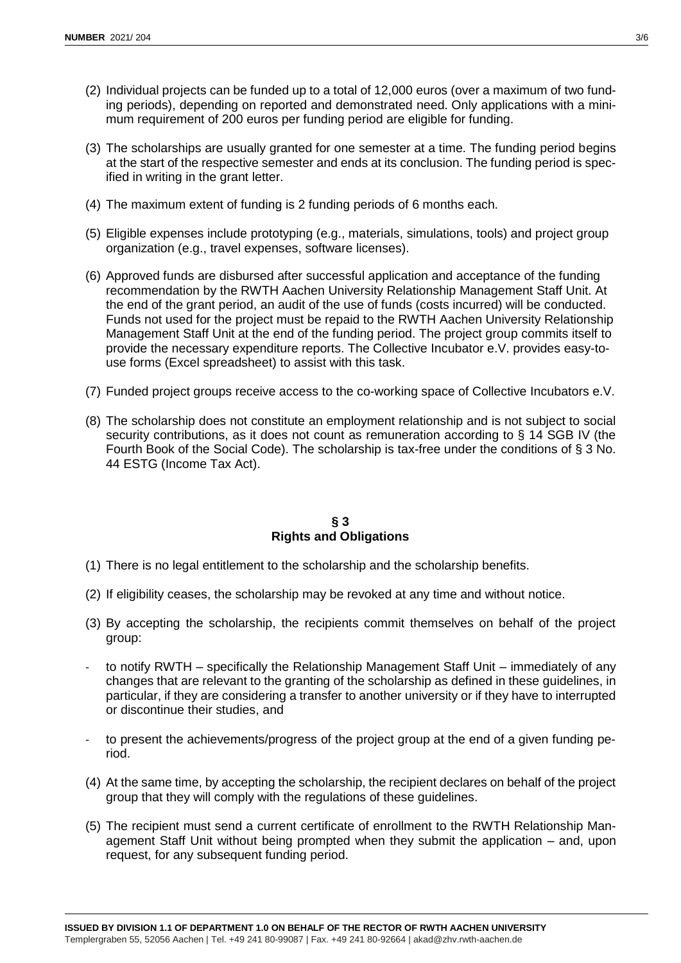- (2) Individual projects can be funded up to a total of 12,000 euros (over a maximum of two funding periods), depending on reported and demonstrated need. Only applications with a minimum requirement of 200 euros per funding period are eligible for funding.
- (3) The scholarships are usually granted for one semester at a time. The funding period begins at the start of the respective semester and ends at its conclusion. The funding period is specified in writing in the grant letter.
- (4) The maximum extent of funding is 2 funding periods of 6 months each.
- (5) Eligible expenses include prototyping (e.g., materials, simulations, tools) and project group organization (e.g., travel expenses, software licenses).
- (6) Approved funds are disbursed after successful application and acceptance of the funding recommendation by the RWTH Aachen University Relationship Management Staff Unit. At the end of the grant period, an audit of the use of funds (costs incurred) will be conducted. Funds not used for the project must be repaid to the RWTH Aachen University Relationship Management Staff Unit at the end of the funding period. The project group commits itself to provide the necessary expenditure reports. The Collective Incubator e.V. provides easy-touse forms (Excel spreadsheet) to assist with this task.
- (7) Funded project groups receive access to the co-working space of Collective Incubators e.V.
- (8) The scholarship does not constitute an employment relationship and is not subject to social security contributions, as it does not count as remuneration according to § 14 SGB IV (the Fourth Book of the Social Code). The scholarship is tax-free under the conditions of § 3 No. 44 ESTG (Income Tax Act).

#### **§ 3 Rights and Obligations**

- (1) There is no legal entitlement to the scholarship and the scholarship benefits.
- (2) If eligibility ceases, the scholarship may be revoked at any time and without notice.
- (3) By accepting the scholarship, the recipients commit themselves on behalf of the project group:
- to notify RWTH specifically the Relationship Management Staff Unit immediately of any changes that are relevant to the granting of the scholarship as defined in these guidelines, in particular, if they are considering a transfer to another university or if they have to interrupted or discontinue their studies, and
- to present the achievements/progress of the project group at the end of a given funding period.
- (4) At the same time, by accepting the scholarship, the recipient declares on behalf of the project group that they will comply with the regulations of these guidelines.
- (5) The recipient must send a current certificate of enrollment to the RWTH Relationship Management Staff Unit without being prompted when they submit the application – and, upon request, for any subsequent funding period.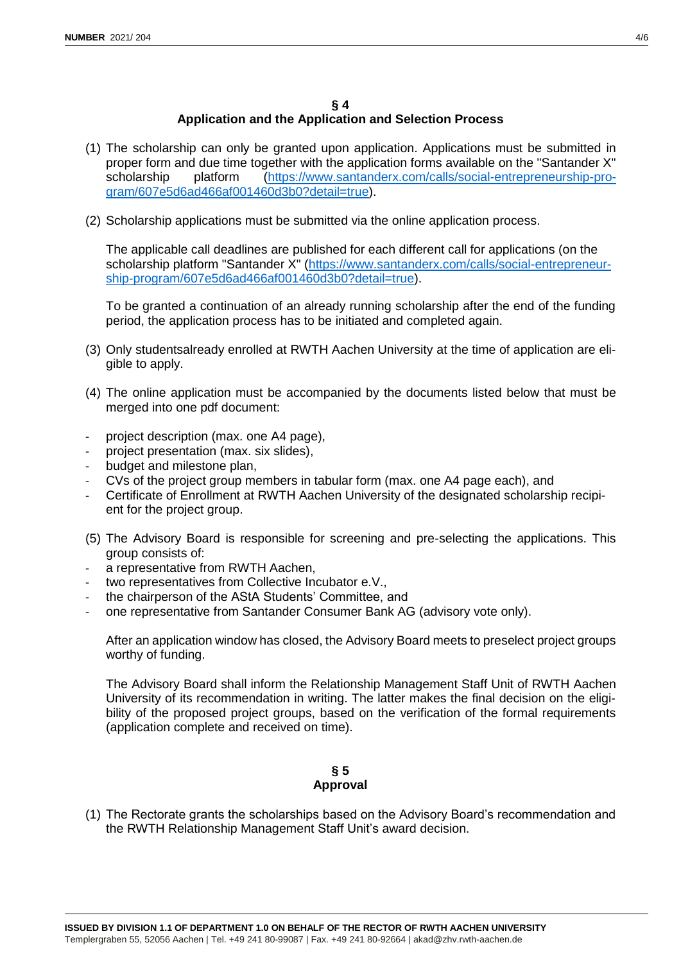# **§ 4 Application and the Application and Selection Process**

- (1) The scholarship can only be granted upon application. Applications must be submitted in proper form and due time together with the application forms available on the "Santander X" scholarship platform [\(https://www.santanderx.com/calls/social-entrepreneurship-pro](https://www.santanderx.com/calls/social-entrepreneurship-program/607e5d6ad466af001460d3b0?detail=true)[gram/607e5d6ad466af001460d3b0?detail=true\)](https://www.santanderx.com/calls/social-entrepreneurship-program/607e5d6ad466af001460d3b0?detail=true).
- (2) Scholarship applications must be submitted via the online application process.

The applicable call deadlines are published for each different call for applications (on the scholarship platform "Santander X" [\(https://www.santanderx.com/calls/social-entrepreneur](https://www.santanderx.com/calls/social-entrepreneurship-program/607e5d6ad466af001460d3b0?detail=true)[ship-program/607e5d6ad466af001460d3b0?detail=true\)](https://www.santanderx.com/calls/social-entrepreneurship-program/607e5d6ad466af001460d3b0?detail=true).

To be granted a continuation of an already running scholarship after the end of the funding period, the application process has to be initiated and completed again.

- (3) Only studentsalready enrolled at RWTH Aachen University at the time of application are eligible to apply.
- (4) The online application must be accompanied by the documents listed below that must be merged into one pdf document:
- project description (max. one A4 page),
- project presentation (max. six slides),
- budget and milestone plan,
- CVs of the project group members in tabular form (max. one A4 page each), and
- Certificate of Enrollment at RWTH Aachen University of the designated scholarship recipient for the project group.
- (5) The Advisory Board is responsible for screening and pre-selecting the applications. This group consists of:
- a representative from RWTH Aachen,
- two representatives from Collective Incubator e.V.,
- the chairperson of the AStA Students' Committee, and
- one representative from Santander Consumer Bank AG (advisory vote only).

After an application window has closed, the Advisory Board meets to preselect project groups worthy of funding.

The Advisory Board shall inform the Relationship Management Staff Unit of RWTH Aachen University of its recommendation in writing. The latter makes the final decision on the eligibility of the proposed project groups, based on the verification of the formal requirements (application complete and received on time).

## **§ 5 Approval**

(1) The Rectorate grants the scholarships based on the Advisory Board's recommendation and the RWTH Relationship Management Staff Unit's award decision.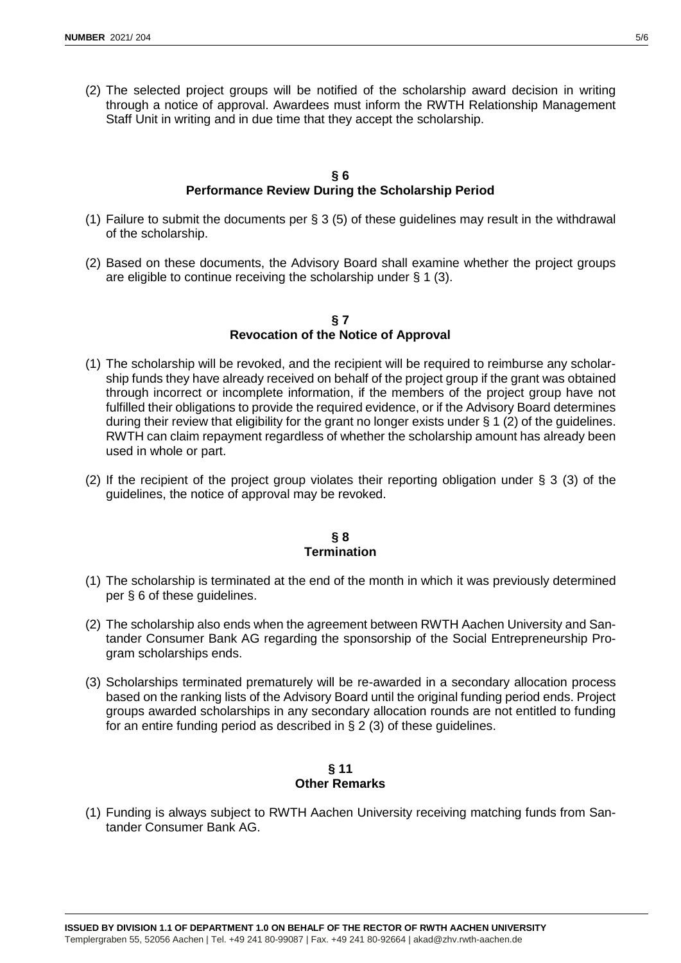(2) The selected project groups will be notified of the scholarship award decision in writing through a notice of approval. Awardees must inform the RWTH Relationship Management Staff Unit in writing and in due time that they accept the scholarship.

#### **§ 6 Performance Review During the Scholarship Period**

- (1) Failure to submit the documents per § 3 (5) of these guidelines may result in the withdrawal of the scholarship.
- (2) Based on these documents, the Advisory Board shall examine whether the project groups are eligible to continue receiving the scholarship under  $\S 1$  (3).

#### **§ 7 Revocation of the Notice of Approval**

- (1) The scholarship will be revoked, and the recipient will be required to reimburse any scholarship funds they have already received on behalf of the project group if the grant was obtained through incorrect or incomplete information, if the members of the project group have not fulfilled their obligations to provide the required evidence, or if the Advisory Board determines during their review that eligibility for the grant no longer exists under  $\S 1$  (2) of the guidelines. RWTH can claim repayment regardless of whether the scholarship amount has already been used in whole or part.
- (2) If the recipient of the project group violates their reporting obligation under § 3 (3) of the guidelines, the notice of approval may be revoked.

#### **§ 8 Termination**

- (1) The scholarship is terminated at the end of the month in which it was previously determined per § 6 of these guidelines.
- (2) The scholarship also ends when the agreement between RWTH Aachen University and Santander Consumer Bank AG regarding the sponsorship of the Social Entrepreneurship Program scholarships ends.
- (3) Scholarships terminated prematurely will be re-awarded in a secondary allocation process based on the ranking lists of the Advisory Board until the original funding period ends. Project groups awarded scholarships in any secondary allocation rounds are not entitled to funding for an entire funding period as described in § 2 (3) of these guidelines.

## **§ 11 Other Remarks**

(1) Funding is always subject to RWTH Aachen University receiving matching funds from Santander Consumer Bank AG.